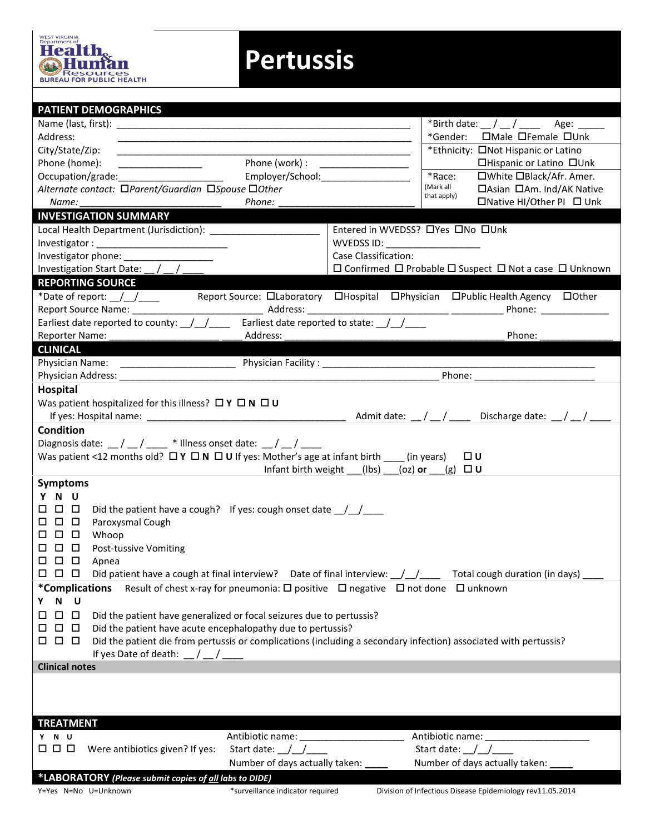

## **Pertussis**

| *Gender: <sub>Male</sub> <sub>I</sub> Female <sub>Unk</sub><br>Address:<br><u> 1989 - Johann Barn, mars an t-Amerikaansk kommunister (* 1958)</u><br>*Ethnicity: ONot Hispanic or Latino<br>City/State/Zip:<br>the control of the control of the control of the control of the control of the control of<br>Phone (work) : ____________________<br>Phone (home):<br>□Hispanic or Latino □Unk<br>*Race:<br>□White □Black/Afr. Amer.<br>Employer/School:<br>Occupation/grade:_________________________<br>(Mark all<br>□Asian □Am. Ind/AK Native<br>Alternate contact: □Parent/Guardian □Spouse □Other<br>that apply)<br>□Native HI/Other PI □ Unk<br>Phone:<br>Name:<br><b>INVESTIGATION SUMMARY</b><br>Entered in WVEDSS? OYes ONo OUnk<br>WVEDSS ID: WVEDSS ID:<br>Case Classification:<br>Investigation Start Date: _/ _/ _<br>$\Box$ Confirmed $\Box$ Probable $\Box$ Suspect $\Box$ Not a case $\Box$ Unknown<br><b>REPORTING SOURCE</b><br>Report Source Name: _____________<br>Phone: and the state of the state of the state of the state of the state of the state of the state of the state of the state of the state of the state of the state of the state of the state of the state of the state of the<br>Earliest date reported to county: $\frac{1}{2}$ $\frac{1}{2}$ Earliest date reported to state: $\frac{1}{2}$<br>Phone:<br>Reporter Name:<br>Address:<br><b>CLINICAL</b><br>Physician Name: _________________________<br>Hospital<br>Was patient hospitalized for this illness? $\Box Y \Box N \Box U$<br><b>Condition</b><br>Diagnosis date: $\angle$ / $\angle$ / $\angle$ * Illness onset date: $\angle$ / $\angle$<br>Was patient <12 months old? $\Box Y \Box N \Box U$ If yes: Mother's age at infant birth ______ (in years)<br>□∪<br>Infant birth weight $($ (lbs) $(oz)$ or $(g)$ $\Box$ U<br><b>Symptoms</b><br>N U<br>Y<br>$\Box$ $\Box$<br>Did the patient have a cough? If yes: cough onset date $\frac{1}{2}$<br>П.<br>$\Box$<br>Paroxysmal Cough<br>$\Box$<br>ш<br>$\Box$<br>□<br>Whoop<br>□<br>$\Box$<br><b>Post-tussive Vomiting</b><br>□<br>$\Box$ $\Box$ $\Box$<br>Apnea<br>000<br>Did patient have a cough at final interview? Date of final interview: \[\stam_{\dimmation duration (in days) _<br>Result of chest x-ray for pneumonia: $\square$ positive $\square$ negative $\square$ not done $\square$ unknown<br><i>*</i> Complications<br>N U<br>Y.<br>$\Box$<br>$\Box$<br>Did the patient have generalized or focal seizures due to pertussis?<br>Did the patient have acute encephalopathy due to pertussis?<br>0 O<br>$\Box$<br>Did the patient die from pertussis or complications (including a secondary infection) associated with pertussis?<br>000<br>If yes Date of death: $\frac{1}{2}$ / $\frac{1}{2}$<br><b>Clinical notes</b><br><b>TREATMENT</b><br>Antibiotic name: _________________________<br>Antibiotic name: _____________________<br>Y N U<br>$\Box$ $\Box$ $\Box$<br>Start date: $\angle$ / $\angle$<br>Start date: $\angle$<br>Were antibiotics given? If yes:<br>Number of days actually taken:<br>Number of days actually taken:<br>*LABORATORY (Please submit copies of all labs to DIDE) | <b>PATIENT DEMOGRAPHICS</b> |  |  |  |  |  |  |  |  |
|----------------------------------------------------------------------------------------------------------------------------------------------------------------------------------------------------------------------------------------------------------------------------------------------------------------------------------------------------------------------------------------------------------------------------------------------------------------------------------------------------------------------------------------------------------------------------------------------------------------------------------------------------------------------------------------------------------------------------------------------------------------------------------------------------------------------------------------------------------------------------------------------------------------------------------------------------------------------------------------------------------------------------------------------------------------------------------------------------------------------------------------------------------------------------------------------------------------------------------------------------------------------------------------------------------------------------------------------------------------------------------------------------------------------------------------------------------------------------------------------------------------------------------------------------------------------------------------------------------------------------------------------------------------------------------------------------------------------------------------------------------------------------------------------------------------------------------------------------------------------------------------------------------------------------------------------------------------------------------------------------------------------------------------------------------------------------------------------------------------------------------------------------------------------------------------------------------------------------------------------------------------------------------------------------------------------------------------------------------------------------------------------------------------------------------------------------------------------------------------------------------------------------------------------------------------------------------------------------------------------------------------------------------------------------------------------------------------------------------------------------------------------------------------------------------------------------------------------------------------------------------------------------------------------------------------------------------------------------------------------------------------------------------------------------------------------------------------------------------------------------------------------------------------------|-----------------------------|--|--|--|--|--|--|--|--|
|                                                                                                                                                                                                                                                                                                                                                                                                                                                                                                                                                                                                                                                                                                                                                                                                                                                                                                                                                                                                                                                                                                                                                                                                                                                                                                                                                                                                                                                                                                                                                                                                                                                                                                                                                                                                                                                                                                                                                                                                                                                                                                                                                                                                                                                                                                                                                                                                                                                                                                                                                                                                                                                                                                                                                                                                                                                                                                                                                                                                                                                                                                                                                                      |                             |  |  |  |  |  |  |  |  |
|                                                                                                                                                                                                                                                                                                                                                                                                                                                                                                                                                                                                                                                                                                                                                                                                                                                                                                                                                                                                                                                                                                                                                                                                                                                                                                                                                                                                                                                                                                                                                                                                                                                                                                                                                                                                                                                                                                                                                                                                                                                                                                                                                                                                                                                                                                                                                                                                                                                                                                                                                                                                                                                                                                                                                                                                                                                                                                                                                                                                                                                                                                                                                                      |                             |  |  |  |  |  |  |  |  |
|                                                                                                                                                                                                                                                                                                                                                                                                                                                                                                                                                                                                                                                                                                                                                                                                                                                                                                                                                                                                                                                                                                                                                                                                                                                                                                                                                                                                                                                                                                                                                                                                                                                                                                                                                                                                                                                                                                                                                                                                                                                                                                                                                                                                                                                                                                                                                                                                                                                                                                                                                                                                                                                                                                                                                                                                                                                                                                                                                                                                                                                                                                                                                                      |                             |  |  |  |  |  |  |  |  |
|                                                                                                                                                                                                                                                                                                                                                                                                                                                                                                                                                                                                                                                                                                                                                                                                                                                                                                                                                                                                                                                                                                                                                                                                                                                                                                                                                                                                                                                                                                                                                                                                                                                                                                                                                                                                                                                                                                                                                                                                                                                                                                                                                                                                                                                                                                                                                                                                                                                                                                                                                                                                                                                                                                                                                                                                                                                                                                                                                                                                                                                                                                                                                                      |                             |  |  |  |  |  |  |  |  |
|                                                                                                                                                                                                                                                                                                                                                                                                                                                                                                                                                                                                                                                                                                                                                                                                                                                                                                                                                                                                                                                                                                                                                                                                                                                                                                                                                                                                                                                                                                                                                                                                                                                                                                                                                                                                                                                                                                                                                                                                                                                                                                                                                                                                                                                                                                                                                                                                                                                                                                                                                                                                                                                                                                                                                                                                                                                                                                                                                                                                                                                                                                                                                                      |                             |  |  |  |  |  |  |  |  |
|                                                                                                                                                                                                                                                                                                                                                                                                                                                                                                                                                                                                                                                                                                                                                                                                                                                                                                                                                                                                                                                                                                                                                                                                                                                                                                                                                                                                                                                                                                                                                                                                                                                                                                                                                                                                                                                                                                                                                                                                                                                                                                                                                                                                                                                                                                                                                                                                                                                                                                                                                                                                                                                                                                                                                                                                                                                                                                                                                                                                                                                                                                                                                                      |                             |  |  |  |  |  |  |  |  |
|                                                                                                                                                                                                                                                                                                                                                                                                                                                                                                                                                                                                                                                                                                                                                                                                                                                                                                                                                                                                                                                                                                                                                                                                                                                                                                                                                                                                                                                                                                                                                                                                                                                                                                                                                                                                                                                                                                                                                                                                                                                                                                                                                                                                                                                                                                                                                                                                                                                                                                                                                                                                                                                                                                                                                                                                                                                                                                                                                                                                                                                                                                                                                                      |                             |  |  |  |  |  |  |  |  |
|                                                                                                                                                                                                                                                                                                                                                                                                                                                                                                                                                                                                                                                                                                                                                                                                                                                                                                                                                                                                                                                                                                                                                                                                                                                                                                                                                                                                                                                                                                                                                                                                                                                                                                                                                                                                                                                                                                                                                                                                                                                                                                                                                                                                                                                                                                                                                                                                                                                                                                                                                                                                                                                                                                                                                                                                                                                                                                                                                                                                                                                                                                                                                                      |                             |  |  |  |  |  |  |  |  |
|                                                                                                                                                                                                                                                                                                                                                                                                                                                                                                                                                                                                                                                                                                                                                                                                                                                                                                                                                                                                                                                                                                                                                                                                                                                                                                                                                                                                                                                                                                                                                                                                                                                                                                                                                                                                                                                                                                                                                                                                                                                                                                                                                                                                                                                                                                                                                                                                                                                                                                                                                                                                                                                                                                                                                                                                                                                                                                                                                                                                                                                                                                                                                                      |                             |  |  |  |  |  |  |  |  |
|                                                                                                                                                                                                                                                                                                                                                                                                                                                                                                                                                                                                                                                                                                                                                                                                                                                                                                                                                                                                                                                                                                                                                                                                                                                                                                                                                                                                                                                                                                                                                                                                                                                                                                                                                                                                                                                                                                                                                                                                                                                                                                                                                                                                                                                                                                                                                                                                                                                                                                                                                                                                                                                                                                                                                                                                                                                                                                                                                                                                                                                                                                                                                                      |                             |  |  |  |  |  |  |  |  |
|                                                                                                                                                                                                                                                                                                                                                                                                                                                                                                                                                                                                                                                                                                                                                                                                                                                                                                                                                                                                                                                                                                                                                                                                                                                                                                                                                                                                                                                                                                                                                                                                                                                                                                                                                                                                                                                                                                                                                                                                                                                                                                                                                                                                                                                                                                                                                                                                                                                                                                                                                                                                                                                                                                                                                                                                                                                                                                                                                                                                                                                                                                                                                                      |                             |  |  |  |  |  |  |  |  |
|                                                                                                                                                                                                                                                                                                                                                                                                                                                                                                                                                                                                                                                                                                                                                                                                                                                                                                                                                                                                                                                                                                                                                                                                                                                                                                                                                                                                                                                                                                                                                                                                                                                                                                                                                                                                                                                                                                                                                                                                                                                                                                                                                                                                                                                                                                                                                                                                                                                                                                                                                                                                                                                                                                                                                                                                                                                                                                                                                                                                                                                                                                                                                                      |                             |  |  |  |  |  |  |  |  |
|                                                                                                                                                                                                                                                                                                                                                                                                                                                                                                                                                                                                                                                                                                                                                                                                                                                                                                                                                                                                                                                                                                                                                                                                                                                                                                                                                                                                                                                                                                                                                                                                                                                                                                                                                                                                                                                                                                                                                                                                                                                                                                                                                                                                                                                                                                                                                                                                                                                                                                                                                                                                                                                                                                                                                                                                                                                                                                                                                                                                                                                                                                                                                                      |                             |  |  |  |  |  |  |  |  |
|                                                                                                                                                                                                                                                                                                                                                                                                                                                                                                                                                                                                                                                                                                                                                                                                                                                                                                                                                                                                                                                                                                                                                                                                                                                                                                                                                                                                                                                                                                                                                                                                                                                                                                                                                                                                                                                                                                                                                                                                                                                                                                                                                                                                                                                                                                                                                                                                                                                                                                                                                                                                                                                                                                                                                                                                                                                                                                                                                                                                                                                                                                                                                                      |                             |  |  |  |  |  |  |  |  |
|                                                                                                                                                                                                                                                                                                                                                                                                                                                                                                                                                                                                                                                                                                                                                                                                                                                                                                                                                                                                                                                                                                                                                                                                                                                                                                                                                                                                                                                                                                                                                                                                                                                                                                                                                                                                                                                                                                                                                                                                                                                                                                                                                                                                                                                                                                                                                                                                                                                                                                                                                                                                                                                                                                                                                                                                                                                                                                                                                                                                                                                                                                                                                                      |                             |  |  |  |  |  |  |  |  |
|                                                                                                                                                                                                                                                                                                                                                                                                                                                                                                                                                                                                                                                                                                                                                                                                                                                                                                                                                                                                                                                                                                                                                                                                                                                                                                                                                                                                                                                                                                                                                                                                                                                                                                                                                                                                                                                                                                                                                                                                                                                                                                                                                                                                                                                                                                                                                                                                                                                                                                                                                                                                                                                                                                                                                                                                                                                                                                                                                                                                                                                                                                                                                                      |                             |  |  |  |  |  |  |  |  |
|                                                                                                                                                                                                                                                                                                                                                                                                                                                                                                                                                                                                                                                                                                                                                                                                                                                                                                                                                                                                                                                                                                                                                                                                                                                                                                                                                                                                                                                                                                                                                                                                                                                                                                                                                                                                                                                                                                                                                                                                                                                                                                                                                                                                                                                                                                                                                                                                                                                                                                                                                                                                                                                                                                                                                                                                                                                                                                                                                                                                                                                                                                                                                                      |                             |  |  |  |  |  |  |  |  |
|                                                                                                                                                                                                                                                                                                                                                                                                                                                                                                                                                                                                                                                                                                                                                                                                                                                                                                                                                                                                                                                                                                                                                                                                                                                                                                                                                                                                                                                                                                                                                                                                                                                                                                                                                                                                                                                                                                                                                                                                                                                                                                                                                                                                                                                                                                                                                                                                                                                                                                                                                                                                                                                                                                                                                                                                                                                                                                                                                                                                                                                                                                                                                                      |                             |  |  |  |  |  |  |  |  |
|                                                                                                                                                                                                                                                                                                                                                                                                                                                                                                                                                                                                                                                                                                                                                                                                                                                                                                                                                                                                                                                                                                                                                                                                                                                                                                                                                                                                                                                                                                                                                                                                                                                                                                                                                                                                                                                                                                                                                                                                                                                                                                                                                                                                                                                                                                                                                                                                                                                                                                                                                                                                                                                                                                                                                                                                                                                                                                                                                                                                                                                                                                                                                                      |                             |  |  |  |  |  |  |  |  |
|                                                                                                                                                                                                                                                                                                                                                                                                                                                                                                                                                                                                                                                                                                                                                                                                                                                                                                                                                                                                                                                                                                                                                                                                                                                                                                                                                                                                                                                                                                                                                                                                                                                                                                                                                                                                                                                                                                                                                                                                                                                                                                                                                                                                                                                                                                                                                                                                                                                                                                                                                                                                                                                                                                                                                                                                                                                                                                                                                                                                                                                                                                                                                                      |                             |  |  |  |  |  |  |  |  |
|                                                                                                                                                                                                                                                                                                                                                                                                                                                                                                                                                                                                                                                                                                                                                                                                                                                                                                                                                                                                                                                                                                                                                                                                                                                                                                                                                                                                                                                                                                                                                                                                                                                                                                                                                                                                                                                                                                                                                                                                                                                                                                                                                                                                                                                                                                                                                                                                                                                                                                                                                                                                                                                                                                                                                                                                                                                                                                                                                                                                                                                                                                                                                                      |                             |  |  |  |  |  |  |  |  |
|                                                                                                                                                                                                                                                                                                                                                                                                                                                                                                                                                                                                                                                                                                                                                                                                                                                                                                                                                                                                                                                                                                                                                                                                                                                                                                                                                                                                                                                                                                                                                                                                                                                                                                                                                                                                                                                                                                                                                                                                                                                                                                                                                                                                                                                                                                                                                                                                                                                                                                                                                                                                                                                                                                                                                                                                                                                                                                                                                                                                                                                                                                                                                                      |                             |  |  |  |  |  |  |  |  |
|                                                                                                                                                                                                                                                                                                                                                                                                                                                                                                                                                                                                                                                                                                                                                                                                                                                                                                                                                                                                                                                                                                                                                                                                                                                                                                                                                                                                                                                                                                                                                                                                                                                                                                                                                                                                                                                                                                                                                                                                                                                                                                                                                                                                                                                                                                                                                                                                                                                                                                                                                                                                                                                                                                                                                                                                                                                                                                                                                                                                                                                                                                                                                                      |                             |  |  |  |  |  |  |  |  |
|                                                                                                                                                                                                                                                                                                                                                                                                                                                                                                                                                                                                                                                                                                                                                                                                                                                                                                                                                                                                                                                                                                                                                                                                                                                                                                                                                                                                                                                                                                                                                                                                                                                                                                                                                                                                                                                                                                                                                                                                                                                                                                                                                                                                                                                                                                                                                                                                                                                                                                                                                                                                                                                                                                                                                                                                                                                                                                                                                                                                                                                                                                                                                                      |                             |  |  |  |  |  |  |  |  |
|                                                                                                                                                                                                                                                                                                                                                                                                                                                                                                                                                                                                                                                                                                                                                                                                                                                                                                                                                                                                                                                                                                                                                                                                                                                                                                                                                                                                                                                                                                                                                                                                                                                                                                                                                                                                                                                                                                                                                                                                                                                                                                                                                                                                                                                                                                                                                                                                                                                                                                                                                                                                                                                                                                                                                                                                                                                                                                                                                                                                                                                                                                                                                                      |                             |  |  |  |  |  |  |  |  |
|                                                                                                                                                                                                                                                                                                                                                                                                                                                                                                                                                                                                                                                                                                                                                                                                                                                                                                                                                                                                                                                                                                                                                                                                                                                                                                                                                                                                                                                                                                                                                                                                                                                                                                                                                                                                                                                                                                                                                                                                                                                                                                                                                                                                                                                                                                                                                                                                                                                                                                                                                                                                                                                                                                                                                                                                                                                                                                                                                                                                                                                                                                                                                                      |                             |  |  |  |  |  |  |  |  |
|                                                                                                                                                                                                                                                                                                                                                                                                                                                                                                                                                                                                                                                                                                                                                                                                                                                                                                                                                                                                                                                                                                                                                                                                                                                                                                                                                                                                                                                                                                                                                                                                                                                                                                                                                                                                                                                                                                                                                                                                                                                                                                                                                                                                                                                                                                                                                                                                                                                                                                                                                                                                                                                                                                                                                                                                                                                                                                                                                                                                                                                                                                                                                                      |                             |  |  |  |  |  |  |  |  |
|                                                                                                                                                                                                                                                                                                                                                                                                                                                                                                                                                                                                                                                                                                                                                                                                                                                                                                                                                                                                                                                                                                                                                                                                                                                                                                                                                                                                                                                                                                                                                                                                                                                                                                                                                                                                                                                                                                                                                                                                                                                                                                                                                                                                                                                                                                                                                                                                                                                                                                                                                                                                                                                                                                                                                                                                                                                                                                                                                                                                                                                                                                                                                                      |                             |  |  |  |  |  |  |  |  |
|                                                                                                                                                                                                                                                                                                                                                                                                                                                                                                                                                                                                                                                                                                                                                                                                                                                                                                                                                                                                                                                                                                                                                                                                                                                                                                                                                                                                                                                                                                                                                                                                                                                                                                                                                                                                                                                                                                                                                                                                                                                                                                                                                                                                                                                                                                                                                                                                                                                                                                                                                                                                                                                                                                                                                                                                                                                                                                                                                                                                                                                                                                                                                                      |                             |  |  |  |  |  |  |  |  |
|                                                                                                                                                                                                                                                                                                                                                                                                                                                                                                                                                                                                                                                                                                                                                                                                                                                                                                                                                                                                                                                                                                                                                                                                                                                                                                                                                                                                                                                                                                                                                                                                                                                                                                                                                                                                                                                                                                                                                                                                                                                                                                                                                                                                                                                                                                                                                                                                                                                                                                                                                                                                                                                                                                                                                                                                                                                                                                                                                                                                                                                                                                                                                                      |                             |  |  |  |  |  |  |  |  |
|                                                                                                                                                                                                                                                                                                                                                                                                                                                                                                                                                                                                                                                                                                                                                                                                                                                                                                                                                                                                                                                                                                                                                                                                                                                                                                                                                                                                                                                                                                                                                                                                                                                                                                                                                                                                                                                                                                                                                                                                                                                                                                                                                                                                                                                                                                                                                                                                                                                                                                                                                                                                                                                                                                                                                                                                                                                                                                                                                                                                                                                                                                                                                                      |                             |  |  |  |  |  |  |  |  |
|                                                                                                                                                                                                                                                                                                                                                                                                                                                                                                                                                                                                                                                                                                                                                                                                                                                                                                                                                                                                                                                                                                                                                                                                                                                                                                                                                                                                                                                                                                                                                                                                                                                                                                                                                                                                                                                                                                                                                                                                                                                                                                                                                                                                                                                                                                                                                                                                                                                                                                                                                                                                                                                                                                                                                                                                                                                                                                                                                                                                                                                                                                                                                                      |                             |  |  |  |  |  |  |  |  |
|                                                                                                                                                                                                                                                                                                                                                                                                                                                                                                                                                                                                                                                                                                                                                                                                                                                                                                                                                                                                                                                                                                                                                                                                                                                                                                                                                                                                                                                                                                                                                                                                                                                                                                                                                                                                                                                                                                                                                                                                                                                                                                                                                                                                                                                                                                                                                                                                                                                                                                                                                                                                                                                                                                                                                                                                                                                                                                                                                                                                                                                                                                                                                                      |                             |  |  |  |  |  |  |  |  |
|                                                                                                                                                                                                                                                                                                                                                                                                                                                                                                                                                                                                                                                                                                                                                                                                                                                                                                                                                                                                                                                                                                                                                                                                                                                                                                                                                                                                                                                                                                                                                                                                                                                                                                                                                                                                                                                                                                                                                                                                                                                                                                                                                                                                                                                                                                                                                                                                                                                                                                                                                                                                                                                                                                                                                                                                                                                                                                                                                                                                                                                                                                                                                                      |                             |  |  |  |  |  |  |  |  |
|                                                                                                                                                                                                                                                                                                                                                                                                                                                                                                                                                                                                                                                                                                                                                                                                                                                                                                                                                                                                                                                                                                                                                                                                                                                                                                                                                                                                                                                                                                                                                                                                                                                                                                                                                                                                                                                                                                                                                                                                                                                                                                                                                                                                                                                                                                                                                                                                                                                                                                                                                                                                                                                                                                                                                                                                                                                                                                                                                                                                                                                                                                                                                                      |                             |  |  |  |  |  |  |  |  |
|                                                                                                                                                                                                                                                                                                                                                                                                                                                                                                                                                                                                                                                                                                                                                                                                                                                                                                                                                                                                                                                                                                                                                                                                                                                                                                                                                                                                                                                                                                                                                                                                                                                                                                                                                                                                                                                                                                                                                                                                                                                                                                                                                                                                                                                                                                                                                                                                                                                                                                                                                                                                                                                                                                                                                                                                                                                                                                                                                                                                                                                                                                                                                                      |                             |  |  |  |  |  |  |  |  |
|                                                                                                                                                                                                                                                                                                                                                                                                                                                                                                                                                                                                                                                                                                                                                                                                                                                                                                                                                                                                                                                                                                                                                                                                                                                                                                                                                                                                                                                                                                                                                                                                                                                                                                                                                                                                                                                                                                                                                                                                                                                                                                                                                                                                                                                                                                                                                                                                                                                                                                                                                                                                                                                                                                                                                                                                                                                                                                                                                                                                                                                                                                                                                                      |                             |  |  |  |  |  |  |  |  |
|                                                                                                                                                                                                                                                                                                                                                                                                                                                                                                                                                                                                                                                                                                                                                                                                                                                                                                                                                                                                                                                                                                                                                                                                                                                                                                                                                                                                                                                                                                                                                                                                                                                                                                                                                                                                                                                                                                                                                                                                                                                                                                                                                                                                                                                                                                                                                                                                                                                                                                                                                                                                                                                                                                                                                                                                                                                                                                                                                                                                                                                                                                                                                                      |                             |  |  |  |  |  |  |  |  |
|                                                                                                                                                                                                                                                                                                                                                                                                                                                                                                                                                                                                                                                                                                                                                                                                                                                                                                                                                                                                                                                                                                                                                                                                                                                                                                                                                                                                                                                                                                                                                                                                                                                                                                                                                                                                                                                                                                                                                                                                                                                                                                                                                                                                                                                                                                                                                                                                                                                                                                                                                                                                                                                                                                                                                                                                                                                                                                                                                                                                                                                                                                                                                                      |                             |  |  |  |  |  |  |  |  |
|                                                                                                                                                                                                                                                                                                                                                                                                                                                                                                                                                                                                                                                                                                                                                                                                                                                                                                                                                                                                                                                                                                                                                                                                                                                                                                                                                                                                                                                                                                                                                                                                                                                                                                                                                                                                                                                                                                                                                                                                                                                                                                                                                                                                                                                                                                                                                                                                                                                                                                                                                                                                                                                                                                                                                                                                                                                                                                                                                                                                                                                                                                                                                                      |                             |  |  |  |  |  |  |  |  |
|                                                                                                                                                                                                                                                                                                                                                                                                                                                                                                                                                                                                                                                                                                                                                                                                                                                                                                                                                                                                                                                                                                                                                                                                                                                                                                                                                                                                                                                                                                                                                                                                                                                                                                                                                                                                                                                                                                                                                                                                                                                                                                                                                                                                                                                                                                                                                                                                                                                                                                                                                                                                                                                                                                                                                                                                                                                                                                                                                                                                                                                                                                                                                                      |                             |  |  |  |  |  |  |  |  |
|                                                                                                                                                                                                                                                                                                                                                                                                                                                                                                                                                                                                                                                                                                                                                                                                                                                                                                                                                                                                                                                                                                                                                                                                                                                                                                                                                                                                                                                                                                                                                                                                                                                                                                                                                                                                                                                                                                                                                                                                                                                                                                                                                                                                                                                                                                                                                                                                                                                                                                                                                                                                                                                                                                                                                                                                                                                                                                                                                                                                                                                                                                                                                                      |                             |  |  |  |  |  |  |  |  |
|                                                                                                                                                                                                                                                                                                                                                                                                                                                                                                                                                                                                                                                                                                                                                                                                                                                                                                                                                                                                                                                                                                                                                                                                                                                                                                                                                                                                                                                                                                                                                                                                                                                                                                                                                                                                                                                                                                                                                                                                                                                                                                                                                                                                                                                                                                                                                                                                                                                                                                                                                                                                                                                                                                                                                                                                                                                                                                                                                                                                                                                                                                                                                                      |                             |  |  |  |  |  |  |  |  |
|                                                                                                                                                                                                                                                                                                                                                                                                                                                                                                                                                                                                                                                                                                                                                                                                                                                                                                                                                                                                                                                                                                                                                                                                                                                                                                                                                                                                                                                                                                                                                                                                                                                                                                                                                                                                                                                                                                                                                                                                                                                                                                                                                                                                                                                                                                                                                                                                                                                                                                                                                                                                                                                                                                                                                                                                                                                                                                                                                                                                                                                                                                                                                                      |                             |  |  |  |  |  |  |  |  |
|                                                                                                                                                                                                                                                                                                                                                                                                                                                                                                                                                                                                                                                                                                                                                                                                                                                                                                                                                                                                                                                                                                                                                                                                                                                                                                                                                                                                                                                                                                                                                                                                                                                                                                                                                                                                                                                                                                                                                                                                                                                                                                                                                                                                                                                                                                                                                                                                                                                                                                                                                                                                                                                                                                                                                                                                                                                                                                                                                                                                                                                                                                                                                                      |                             |  |  |  |  |  |  |  |  |
|                                                                                                                                                                                                                                                                                                                                                                                                                                                                                                                                                                                                                                                                                                                                                                                                                                                                                                                                                                                                                                                                                                                                                                                                                                                                                                                                                                                                                                                                                                                                                                                                                                                                                                                                                                                                                                                                                                                                                                                                                                                                                                                                                                                                                                                                                                                                                                                                                                                                                                                                                                                                                                                                                                                                                                                                                                                                                                                                                                                                                                                                                                                                                                      |                             |  |  |  |  |  |  |  |  |
|                                                                                                                                                                                                                                                                                                                                                                                                                                                                                                                                                                                                                                                                                                                                                                                                                                                                                                                                                                                                                                                                                                                                                                                                                                                                                                                                                                                                                                                                                                                                                                                                                                                                                                                                                                                                                                                                                                                                                                                                                                                                                                                                                                                                                                                                                                                                                                                                                                                                                                                                                                                                                                                                                                                                                                                                                                                                                                                                                                                                                                                                                                                                                                      |                             |  |  |  |  |  |  |  |  |
|                                                                                                                                                                                                                                                                                                                                                                                                                                                                                                                                                                                                                                                                                                                                                                                                                                                                                                                                                                                                                                                                                                                                                                                                                                                                                                                                                                                                                                                                                                                                                                                                                                                                                                                                                                                                                                                                                                                                                                                                                                                                                                                                                                                                                                                                                                                                                                                                                                                                                                                                                                                                                                                                                                                                                                                                                                                                                                                                                                                                                                                                                                                                                                      |                             |  |  |  |  |  |  |  |  |
|                                                                                                                                                                                                                                                                                                                                                                                                                                                                                                                                                                                                                                                                                                                                                                                                                                                                                                                                                                                                                                                                                                                                                                                                                                                                                                                                                                                                                                                                                                                                                                                                                                                                                                                                                                                                                                                                                                                                                                                                                                                                                                                                                                                                                                                                                                                                                                                                                                                                                                                                                                                                                                                                                                                                                                                                                                                                                                                                                                                                                                                                                                                                                                      |                             |  |  |  |  |  |  |  |  |
|                                                                                                                                                                                                                                                                                                                                                                                                                                                                                                                                                                                                                                                                                                                                                                                                                                                                                                                                                                                                                                                                                                                                                                                                                                                                                                                                                                                                                                                                                                                                                                                                                                                                                                                                                                                                                                                                                                                                                                                                                                                                                                                                                                                                                                                                                                                                                                                                                                                                                                                                                                                                                                                                                                                                                                                                                                                                                                                                                                                                                                                                                                                                                                      |                             |  |  |  |  |  |  |  |  |
| *surveillance indicator required<br>Division of Infectious Disease Epidemiology rev11.05.2014<br>Y=Yes N=No U=Unknown                                                                                                                                                                                                                                                                                                                                                                                                                                                                                                                                                                                                                                                                                                                                                                                                                                                                                                                                                                                                                                                                                                                                                                                                                                                                                                                                                                                                                                                                                                                                                                                                                                                                                                                                                                                                                                                                                                                                                                                                                                                                                                                                                                                                                                                                                                                                                                                                                                                                                                                                                                                                                                                                                                                                                                                                                                                                                                                                                                                                                                                |                             |  |  |  |  |  |  |  |  |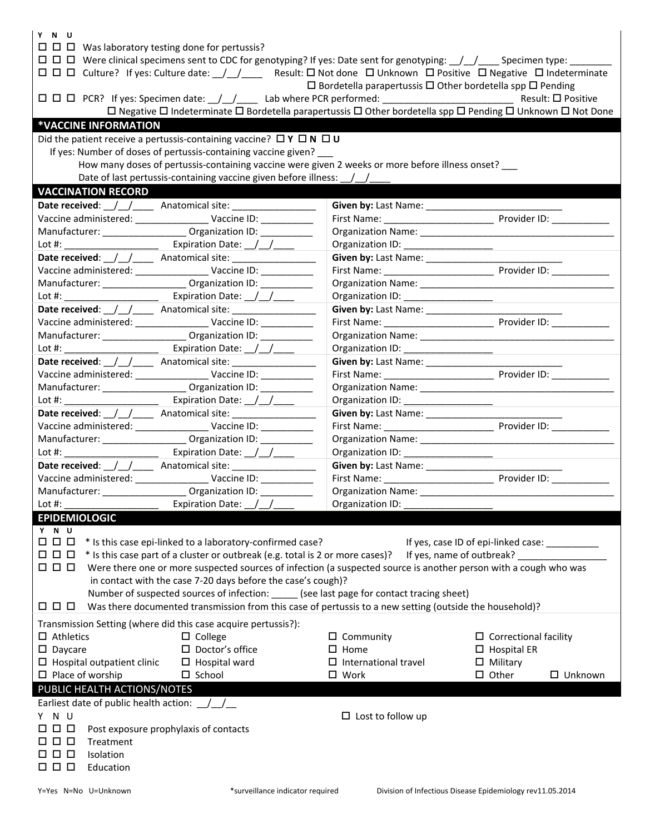| Y N U<br>$\Box$ $\Box$ Was laboratory testing done for pertussis?                                                                                                                                                                                                                                                                                   |                                                                                                                |                                                 |  |  |  |  |  |  |
|-----------------------------------------------------------------------------------------------------------------------------------------------------------------------------------------------------------------------------------------------------------------------------------------------------------------------------------------------------|----------------------------------------------------------------------------------------------------------------|-------------------------------------------------|--|--|--|--|--|--|
| $\Box$ $\Box$ Culture? If yes: Culture date: $\frac{1}{2}$ Result: $\Box$ Not done $\Box$ Unknown $\Box$ Positive $\Box$ Negative $\Box$ Indeterminate<br>$\Box$ Bordetella parapertussis $\Box$ Other bordetella spp $\Box$ Pending<br>□ Negative □ Indeterminate □ Bordetella parapertussis □ Other bordetella spp □ Pending □ Unknown □ Not Done |                                                                                                                |                                                 |  |  |  |  |  |  |
| *VACCINE INFORMATION                                                                                                                                                                                                                                                                                                                                |                                                                                                                |                                                 |  |  |  |  |  |  |
| Did the patient receive a pertussis-containing vaccine? $\Box Y \Box N \Box U$                                                                                                                                                                                                                                                                      |                                                                                                                |                                                 |  |  |  |  |  |  |
| If yes: Number of doses of pertussis-containing vaccine given?                                                                                                                                                                                                                                                                                      |                                                                                                                |                                                 |  |  |  |  |  |  |
| How many doses of pertussis-containing vaccine were given 2 weeks or more before illness onset?                                                                                                                                                                                                                                                     |                                                                                                                |                                                 |  |  |  |  |  |  |
|                                                                                                                                                                                                                                                                                                                                                     |                                                                                                                |                                                 |  |  |  |  |  |  |
| Date of last pertussis-containing vaccine given before illness: \[\]                                                                                                                                                                                                                                                                                |                                                                                                                |                                                 |  |  |  |  |  |  |
| <b>VACCINATION RECORD</b>                                                                                                                                                                                                                                                                                                                           |                                                                                                                |                                                 |  |  |  |  |  |  |
| Date received: ///_____ Anatomical site: ________________                                                                                                                                                                                                                                                                                           | Given by: Last Name: ______________                                                                            |                                                 |  |  |  |  |  |  |
| Vaccine administered: ___________________ Vaccine ID: ___________                                                                                                                                                                                                                                                                                   |                                                                                                                |                                                 |  |  |  |  |  |  |
| Manufacturer: __________________________ Organization ID: ______________                                                                                                                                                                                                                                                                            | Organization Name: 1988 March 1988 March 1988 March 1988 March 1988 March 1988 March 1988 March 1988 March 198 |                                                 |  |  |  |  |  |  |
|                                                                                                                                                                                                                                                                                                                                                     |                                                                                                                |                                                 |  |  |  |  |  |  |
| Date received: ///_____ Anatomical site: _________________                                                                                                                                                                                                                                                                                          |                                                                                                                |                                                 |  |  |  |  |  |  |
| Vaccine administered: ___________________ Vaccine ID: ___________                                                                                                                                                                                                                                                                                   |                                                                                                                |                                                 |  |  |  |  |  |  |
| Manufacturer: ____________________ Organization ID: ___________                                                                                                                                                                                                                                                                                     |                                                                                                                |                                                 |  |  |  |  |  |  |
|                                                                                                                                                                                                                                                                                                                                                     |                                                                                                                |                                                 |  |  |  |  |  |  |
| Expiration Date: / /                                                                                                                                                                                                                                                                                                                                |                                                                                                                |                                                 |  |  |  |  |  |  |
|                                                                                                                                                                                                                                                                                                                                                     |                                                                                                                |                                                 |  |  |  |  |  |  |
| Vaccine administered: ____________________ Vaccine ID: ____________                                                                                                                                                                                                                                                                                 |                                                                                                                |                                                 |  |  |  |  |  |  |
| Manufacturer: _____________________ Organization ID: ____________                                                                                                                                                                                                                                                                                   |                                                                                                                |                                                 |  |  |  |  |  |  |
| Expiration Date: \[\] \]<br>Lot  #:                                                                                                                                                                                                                                                                                                                 |                                                                                                                |                                                 |  |  |  |  |  |  |
| Date received: ///_____ Anatomical site: ________________                                                                                                                                                                                                                                                                                           |                                                                                                                |                                                 |  |  |  |  |  |  |
| Vaccine administered: _______________________ Vaccine ID: _____________                                                                                                                                                                                                                                                                             |                                                                                                                |                                                 |  |  |  |  |  |  |
| Manufacturer: _____________________ Organization ID: ___________                                                                                                                                                                                                                                                                                    |                                                                                                                |                                                 |  |  |  |  |  |  |
| Expiration Date: $\frac{1}{2}$ $\frac{1}{2}$ $\frac{1}{2}$<br>Lot #: ______________________                                                                                                                                                                                                                                                         |                                                                                                                |                                                 |  |  |  |  |  |  |
|                                                                                                                                                                                                                                                                                                                                                     |                                                                                                                |                                                 |  |  |  |  |  |  |
|                                                                                                                                                                                                                                                                                                                                                     |                                                                                                                |                                                 |  |  |  |  |  |  |
| Vaccine administered: _________________________ Vaccine ID: _____________                                                                                                                                                                                                                                                                           |                                                                                                                |                                                 |  |  |  |  |  |  |
| Manufacturer: ______________________ Organization ID: ____________                                                                                                                                                                                                                                                                                  |                                                                                                                |                                                 |  |  |  |  |  |  |
| Expiration Date: \[ \]                                                                                                                                                                                                                                                                                                                              |                                                                                                                |                                                 |  |  |  |  |  |  |
|                                                                                                                                                                                                                                                                                                                                                     |                                                                                                                |                                                 |  |  |  |  |  |  |
| Vaccine administered: _______________________ Vaccine ID: ____________                                                                                                                                                                                                                                                                              |                                                                                                                |                                                 |  |  |  |  |  |  |
| __ Organization ID: _____<br>Manufacturer: ___________                                                                                                                                                                                                                                                                                              | Organization Name: _                                                                                           |                                                 |  |  |  |  |  |  |
| Lot $#$ :<br>Expiration Date: /                                                                                                                                                                                                                                                                                                                     | Organization ID:                                                                                               |                                                 |  |  |  |  |  |  |
| <b>EPIDEMIOLOGIC</b>                                                                                                                                                                                                                                                                                                                                |                                                                                                                |                                                 |  |  |  |  |  |  |
| Y N U                                                                                                                                                                                                                                                                                                                                               |                                                                                                                |                                                 |  |  |  |  |  |  |
| 00 Q                                                                                                                                                                                                                                                                                                                                                |                                                                                                                |                                                 |  |  |  |  |  |  |
| * Is this case epi-linked to a laboratory-confirmed case?                                                                                                                                                                                                                                                                                           |                                                                                                                | If yes, case ID of epi-linked case: ___________ |  |  |  |  |  |  |
| * Is this case part of a cluster or outbreak (e.g. total is 2 or more cases)?<br>0 0 D<br>If yes, name of outbreak?                                                                                                                                                                                                                                 |                                                                                                                |                                                 |  |  |  |  |  |  |
| $\Box$ $\Box$ $\Box$<br>Were there one or more suspected sources of infection (a suspected source is another person with a cough who was                                                                                                                                                                                                            |                                                                                                                |                                                 |  |  |  |  |  |  |
| in contact with the case 7-20 days before the case's cough)?                                                                                                                                                                                                                                                                                        |                                                                                                                |                                                 |  |  |  |  |  |  |
| Number of suspected sources of infection: _____ (see last page for contact tracing sheet)                                                                                                                                                                                                                                                           |                                                                                                                |                                                 |  |  |  |  |  |  |
| Was there documented transmission from this case of pertussis to a new setting (outside the household)?<br>000                                                                                                                                                                                                                                      |                                                                                                                |                                                 |  |  |  |  |  |  |
| Transmission Setting (where did this case acquire pertussis?):                                                                                                                                                                                                                                                                                      |                                                                                                                |                                                 |  |  |  |  |  |  |
| $\Box$ Athletics<br>$\Box$ College                                                                                                                                                                                                                                                                                                                  | $\Box$ Community                                                                                               |                                                 |  |  |  |  |  |  |
|                                                                                                                                                                                                                                                                                                                                                     |                                                                                                                | $\Box$ Correctional facility                    |  |  |  |  |  |  |
| $\square$ Doctor's office<br>$\square$ Daycare                                                                                                                                                                                                                                                                                                      | $\Box$ Home                                                                                                    | $\Box$ Hospital ER                              |  |  |  |  |  |  |
| $\Box$ Hospital outpatient clinic<br>$\Box$ Hospital ward                                                                                                                                                                                                                                                                                           | $\Box$ International travel                                                                                    | $\Box$ Military                                 |  |  |  |  |  |  |
| $\Box$ Place of worship<br>$\square$ School                                                                                                                                                                                                                                                                                                         | $\square$ Work                                                                                                 | $\square$ Other<br>$\Box$ Unknown               |  |  |  |  |  |  |
| PUBLIC HEALTH ACTIONS/NOTES                                                                                                                                                                                                                                                                                                                         |                                                                                                                |                                                 |  |  |  |  |  |  |
| Earliest date of public health action: $\angle$                                                                                                                                                                                                                                                                                                     |                                                                                                                |                                                 |  |  |  |  |  |  |
| YNU                                                                                                                                                                                                                                                                                                                                                 | $\Box$ Lost to follow up                                                                                       |                                                 |  |  |  |  |  |  |
| 0 0 0<br>Post exposure prophylaxis of contacts                                                                                                                                                                                                                                                                                                      |                                                                                                                |                                                 |  |  |  |  |  |  |
| 0 0 0<br>Treatment                                                                                                                                                                                                                                                                                                                                  |                                                                                                                |                                                 |  |  |  |  |  |  |
| 0 0 0<br>Isolation                                                                                                                                                                                                                                                                                                                                  |                                                                                                                |                                                 |  |  |  |  |  |  |
| <b>000</b><br>Education                                                                                                                                                                                                                                                                                                                             |                                                                                                                |                                                 |  |  |  |  |  |  |
|                                                                                                                                                                                                                                                                                                                                                     |                                                                                                                |                                                 |  |  |  |  |  |  |